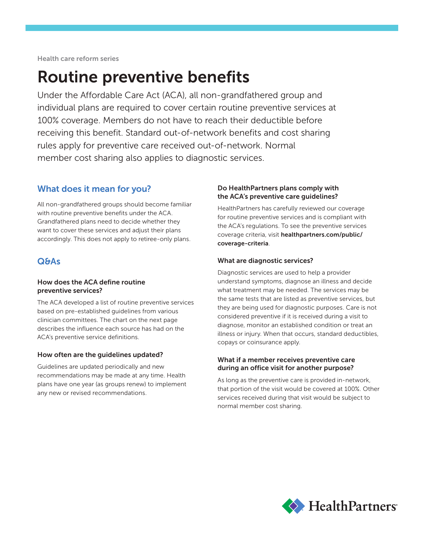Health care reform series

# Routine preventive benefits

Under the Affordable Care Act (ACA), all non-grandfathered group and individual plans are required to cover certain routine preventive services at 100% coverage. Members do not have to reach their deductible before receiving this benefit. Standard out-of-network benefits and cost sharing rules apply for preventive care received out-of-network. Normal member cost sharing also applies to diagnostic services.

# What does it mean for you?

All non-grandfathered groups should become familiar with routine preventive benefits under the ACA. Grandfathered plans need to decide whether they want to cover these services and adjust their plans accordingly. This does not apply to retiree-only plans.

# Q&As

### How does the ACA define routine preventive services?

The ACA developed a list of routine preventive services based on pre-established guidelines from various clinician committees. The chart on the next page describes the influence each source has had on the ACA's preventive service definitions.

## How often are the guidelines updated?

Guidelines are updated periodically and new recommendations may be made at any time. Health plans have one year (as groups renew) to implement any new or revised recommendations.

## Do HealthPartners plans comply with the ACA's preventive care guidelines?

HealthPartners has carefully reviewed our coverage for routine preventive services and is compliant with the ACA's regulations. To see the preventive services coverage criteria, visit healthpartners.com/public/ coverage-criteria.

### What are diagnostic services?

Diagnostic services are used to help a provider understand symptoms, diagnose an illness and decide what treatment may be needed. The services may be the same tests that are listed as preventive services, but they are being used for diagnostic purposes. Care is not considered preventive if it is received during a visit to diagnose, monitor an established condition or treat an illness or injury. When that occurs, standard deductibles, copays or coinsurance apply.

#### What if a member receives preventive care during an office visit for another purpose?

As long as the preventive care is provided in-network, that portion of the visit would be covered at 100%. Other services received during that visit would be subject to normal member cost sharing.